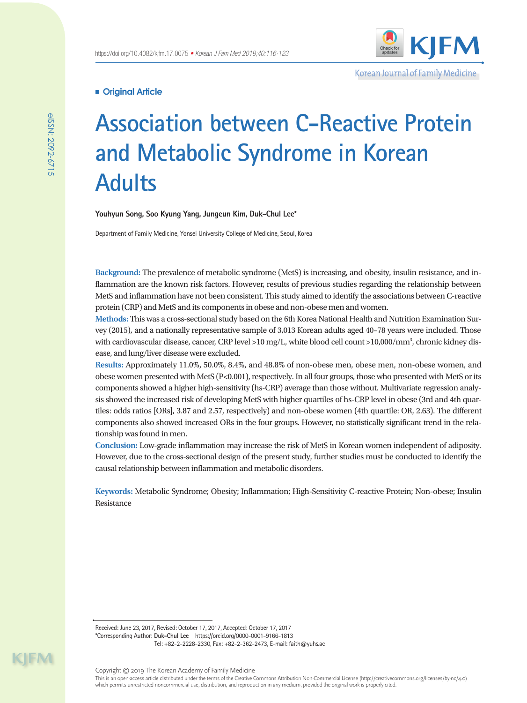

Korean Journal of Family Medicine

# **Original Article**

# **Association between C-Reactive Protein and Metabolic Syndrome in Korean Adults**

**Youhyun Song, Soo Kyung Yang, Jungeun Kim, Duk-Chul Lee\***

Department of Family Medicine, Yonsei University College of Medicine, Seoul, Korea

**Background:** The prevalence of metabolic syndrome (MetS) is increasing, and obesity, insulin resistance, and inflammation are the known risk factors. However, results of previous studies regarding the relationship between MetS and inflammation have not been consistent. This study aimed to identify the associations between C-reactive protein (CRP) and MetS and its components in obese and non-obese men and women.

**Methods:** This was a cross-sectional study based on the 6th Korea National Health and Nutrition Examination Survey (2015), and a nationally representative sample of 3,013 Korean adults aged 40–78 years were included. Those with cardiovascular disease, cancer, CRP level >10 mg/L, white blood cell count >10,000/mm<sup>3</sup>, chronic kidney disease, and lung/liver disease were excluded.

**Results:** Approximately 11.0%, 50.0%, 8.4%, and 48.8% of non-obese men, obese men, non-obese women, and obese women presented with MetS (P<0.001), respectively. In all four groups, those who presented with MetS or its components showed a higher high-sensitivity (hs-CRP) average than those without. Multivariate regression analysis showed the increased risk of developing MetS with higher quartiles of hs-CRP level in obese (3rd and 4th quartiles: odds ratios [ORs], 3.87 and 2.57, respectively) and non-obese women (4th quartile: OR, 2.63). The different components also showed increased ORs in the four groups. However, no statistically significant trend in the relationship was found in men.

**Conclusion:** Low-grade inflammation may increase the risk of MetS in Korean women independent of adiposity. However, due to the cross-sectional design of the present study, further studies must be conducted to identify the causal relationship between inflammation and metabolic disorders.

**Keywords:** Metabolic Syndrome; Obesity; Inflammation; High-Sensitivity C-reactive Protein; Non-obese; Insulin Resistance

Received: June 23, 2017, Revised: October 17, 2017, Accepted: October 17, 2017 \*Corresponding Author: **Duk-Chul Lee** https://orcid.org/0000-0001-9166-1813 Tel: +82-2-2228-2330, Fax: +82-2-362-2473, E-mail: faith@yuhs.ac

eISSN: 2092-6715

elSSN: 2092-6715

Copyright © 2019 The Korean Academy of Family Medicine This is an open-access article distributed under the terms of the Creative Commons Attribution Non-Commercial License (http://creativecommons.org/licenses/by-nc/4.0) which permits unrestricted noncommercial use, distribution, and reproduction in any medium, provided the original work is properly cited.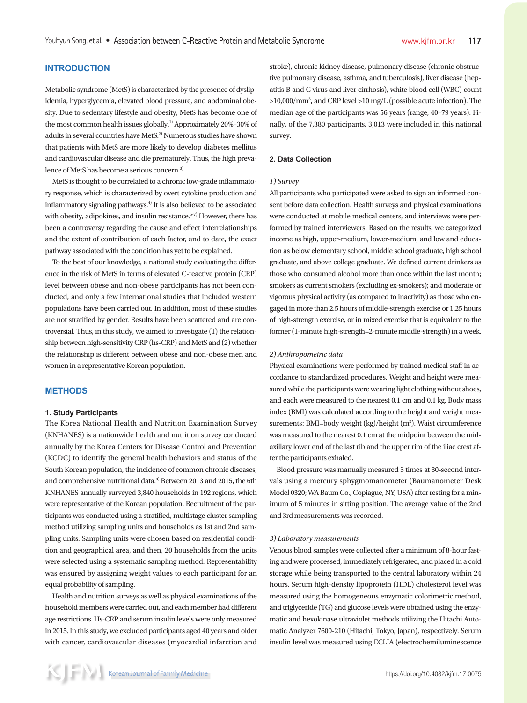## **INTRODUCTION**

Metabolic syndrome (MetS) is characterized by the presence of dyslipidemia, hyperglycemia, elevated blood pressure, and abdominal obesity. Due to sedentary lifestyle and obesity, MetS has become one of the most common health issues globally.<sup>1)</sup> Approximately 20%-30% of adults in several countries have MetS.<sup>2)</sup> Numerous studies have shown that patients with MetS are more likely to develop diabetes mellitus and cardiovascular disease and die prematurely. Thus, the high prevalence of MetS has become a serious concern.<sup>3)</sup>

MetS is thought to be correlated to a chronic low-grade inflammatory response, which is characterized by overt cytokine production and inflammatory signaling pathways.4) It is also believed to be associated with obesity, adipokines, and insulin resistance.<sup>5-7)</sup> However, there has been a controversy regarding the cause and effect interrelationships and the extent of contribution of each factor, and to date, the exact pathway associated with the condition has yet to be explained.

To the best of our knowledge, a national study evaluating the difference in the risk of MetS in terms of elevated C-reactive protein (CRP) level between obese and non-obese participants has not been conducted, and only a few international studies that included western populations have been carried out. In addition, most of these studies are not stratified by gender. Results have been scattered and are controversial. Thus, in this study, we aimed to investigate (1) the relationship between high-sensitivity CRP (hs-CRP) and MetS and (2) whether the relationship is different between obese and non-obese men and women in a representative Korean population.

#### **METHODS**

#### **1. Study Participants**

The Korea National Health and Nutrition Examination Survey (KNHANES) is a nationwide health and nutrition survey conducted annually by the Korea Centers for Disease Control and Prevention (KCDC) to identify the general health behaviors and status of the South Korean population, the incidence of common chronic diseases, and comprehensive nutritional data.<sup>8)</sup> Between 2013 and 2015, the 6th KNHANES annually surveyed 3,840 households in 192 regions, which were representative of the Korean population. Recruitment of the participants was conducted using a stratified, multistage cluster sampling method utilizing sampling units and households as 1st and 2nd sampling units. Sampling units were chosen based on residential condition and geographical area, and then, 20 households from the units were selected using a systematic sampling method. Representability was ensured by assigning weight values to each participant for an equal probability of sampling.

Health and nutrition surveys as well as physical examinations of the household members were carried out, and each member had different age restrictions. Hs-CRP and serum insulin levels were only measured in 2015. In this study, we excluded participants aged 40 years and older with cancer, cardiovascular diseases (myocardial infarction and stroke), chronic kidney disease, pulmonary disease (chronic obstructive pulmonary disease, asthma, and tuberculosis), liver disease (hepatitis B and C virus and liver cirrhosis), white blood cell (WBC) count >10,000/mm3 , and CRP level >10 mg/L (possible acute infection). The median age of the participants was 56 years (range, 40–79 years). Finally, of the 7,380 participants, 3,013 were included in this national survey.

#### **2. Data Collection**

#### *1) Survey*

All participants who participated were asked to sign an informed consent before data collection. Health surveys and physical examinations were conducted at mobile medical centers, and interviews were performed by trained interviewers. Based on the results, we categorized income as high, upper-medium, lower-medium, and low and education as below elementary school, middle school graduate, high school graduate, and above college graduate. We defined current drinkers as those who consumed alcohol more than once within the last month; smokers as current smokers (excluding ex-smokers); and moderate or vigorous physical activity (as compared to inactivity) as those who engaged in more than 2.5 hours of middle-strength exercise or 1.25 hours of high-strength exercise, or in mixed exercise that is equivalent to the former (1-minute high-strength=2-minute middle-strength) in a week.

#### *2) Anthropometric data*

Physical examinations were performed by trained medical staff in accordance to standardized procedures. Weight and height were measured while the participants were wearing light clothing without shoes, and each were measured to the nearest 0.1 cm and 0.1 kg. Body mass index (BMI) was calculated according to the height and weight measurements: BMI=body weight (kg)/height (m<sup>2</sup>). Waist circumference was measured to the nearest 0.1 cm at the midpoint between the midaxillary lower end of the last rib and the upper rim of the iliac crest after the participants exhaled.

Blood pressure was manually measured 3 times at 30-second intervals using a mercury sphygmomanometer (Baumanometer Desk Model 0320; WA Baum Co., Copiague, NY, USA) after resting for a minimum of 5 minutes in sitting position. The average value of the 2nd and 3rd measurements was recorded.

#### *3) Laboratory measurements*

Venous blood samples were collected after a minimum of 8-hour fasting and were processed, immediately refrigerated, and placed in a cold storage while being transported to the central laboratory within 24 hours. Serum high-density lipoprotein (HDL) cholesterol level was measured using the homogeneous enzymatic colorimetric method, and triglyceride (TG) and glucose levels were obtained using the enzymatic and hexokinase ultraviolet methods utilizing the Hitachi Automatic Analyzer 7600-210 (Hitachi, Tokyo, Japan), respectively. Serum insulin level was measured using ECLIA (electrochemiluminescence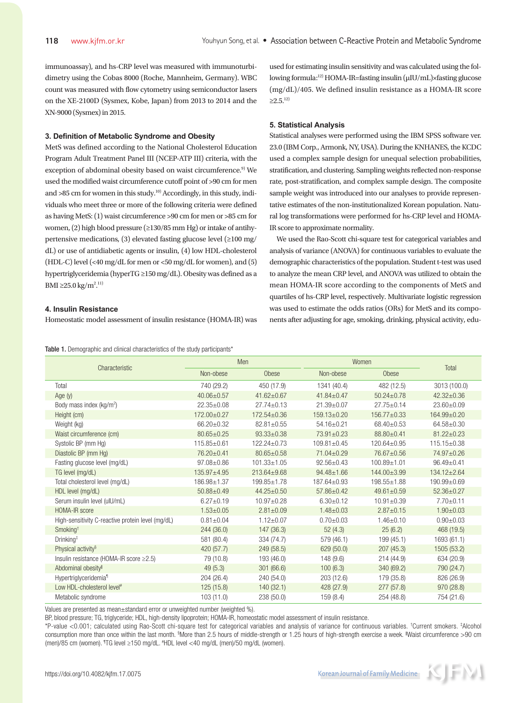immunoassay), and hs-CRP level was measured with immunoturbidimetry using the Cobas 8000 (Roche, Mannheim, Germany). WBC count was measured with flow cytometry using semiconductor lasers on the XE-2100D (Sysmex, Kobe, Japan) from 2013 to 2014 and the XN-9000 (Sysmex) in 2015.

#### **3. Definition of Metabolic Syndrome and Obesity**

MetS was defined according to the National Cholesterol Education Program Adult Treatment Panel III (NCEP-ATP III) criteria, with the exception of abdominal obesity based on waist circumference.<sup>9)</sup> We used the modified waist circumference cutoff point of >90 cm for men and >85 cm for women in this study.<sup>10)</sup> Accordingly, in this study, individuals who meet three or more of the following criteria were defined as having MetS: (1) waist circumference >90 cm for men or >85 cm for women, (2) high blood pressure (≥130/85 mm Hg) or intake of antihypertensive medications, (3) elevated fasting glucose level (≥100 mg/ dL) or use of antidiabetic agents or insulin, (4) low HDL-cholesterol (HDL-C) level (<40 mg/dL for men or <50 mg/dL for women), and (5) hypertriglyceridemia (hyperTG ≥150 mg/dL). Obesity was defined as a BMI ≥25.0 kg/m<sup>2,11)</sup>

#### **4. Insulin Resistance**

Homeostatic model assessment of insulin resistance (HOMA-IR) was

Table 1. Demographic and clinical characteristics of the study participants\*

used for estimating insulin sensitivity and was calculated using the following formula:12) HOMA-IR=fasting insulin (μIU/mL)×fasting glucose (mg/dL)/405. We defined insulin resistance as a HOMA-IR score  $\geq 2.5$ <sup>12)</sup>

#### **5. Statistical Analysis**

Statistical analyses were performed using the IBM SPSS software ver. 23.0 (IBM Corp., Armonk, NY, USA). During the KNHANES, the KCDC used a complex sample design for unequal selection probabilities, stratification, and clustering. Sampling weights reflected non-response rate, post-stratification, and complex sample design. The composite sample weight was introduced into our analyses to provide representative estimates of the non-institutionalized Korean population. Natural log transformations were performed for hs-CRP level and HOMA-IR score to approximate normality.

We used the Rao-Scott chi-square test for categorical variables and analysis of variance (ANOVA) for continuous variables to evaluate the demographic characteristics of the population. Student t-test was used to analyze the mean CRP level, and ANOVA was utilized to obtain the mean HOMA-IR score according to the components of MetS and quartiles of hs-CRP level, respectively. Multivariate logistic regression was used to estimate the odds ratios (ORs) for MetS and its components after adjusting for age, smoking, drinking, physical activity, edu-

| Characteristic                                    | Men               |                   | Women             |                   |                   |
|---------------------------------------------------|-------------------|-------------------|-------------------|-------------------|-------------------|
|                                                   | Non-obese         | Obese             | Non-obese         | Obese             | Total             |
| Total                                             | 740 (29.2)        | 450 (17.9)        | 1341 (40.4)       | 482 (12.5)        | 3013 (100.0)      |
| Age $(y)$                                         | $40.06 \pm 0.57$  | $41.62 \pm 0.67$  | $41.84 \pm 0.47$  | $50.24 \pm 0.78$  | $42.32 \pm 0.36$  |
| Body mass index (kg/m <sup>2</sup> )              | $22.35 \pm 0.08$  | $27.74 \pm 0.13$  | $21.39 \pm 0.07$  | $27.75 \pm 0.14$  | 23.60±0.09        |
| Height (cm)                                       | $172.00 \pm 0.27$ | $172.54 \pm 0.36$ | $159.13 \pm 0.20$ | $156.77 \pm 0.33$ | $164.99 \pm 0.20$ |
| Weight (kg)                                       | $66.20 \pm 0.32$  | $82.81 \pm 0.55$  | $54.16 \pm 0.21$  | 68.40±0.53        | $64.58 \pm 0.30$  |
| Waist circumference (cm)                          | $80.65 \pm 0.25$  | $93.33 \pm 0.38$  | $73.91 \pm 0.23$  | 88.80±0.41        | $81.22 \pm 0.23$  |
| Systolic BP (mm Hg)                               | $115.85 \pm 0.61$ | $122.24 \pm 0.73$ | $109.81 \pm 0.45$ | $120.64 \pm 0.95$ | 115.15±0.38       |
| Diastolic BP (mm Hg)                              | $76.20 \pm 0.41$  | $80.65 \pm 0.58$  | $71.04 \pm 0.29$  | 76.67±0.56        | 74.97±0.26        |
| Fasting glucose level (mg/dL)                     | $97.08 \pm 0.86$  | $101.33 \pm 1.05$ | $92.56 \pm 0.43$  | $100.89 \pm 1.01$ | $96.49 \pm 0.41$  |
| TG level (mg/dL)                                  | $135.97 + 4.95$   | $213.64 \pm 9.68$ | $94.48 \pm 1.66$  | 144.00±3.99       | 134.12±2.64       |
| Total cholesterol level (mg/dL)                   | 186.98±1.37       | 199.85±1.78       | 187.64±0.93       | $198.55 \pm 1.88$ | 190.99±0.69       |
| HDL level (mg/dL)                                 | $50.88 \pm 0.49$  | $44.25 \pm 0.50$  | $57.86 \pm 0.42$  | $49.61 \pm 0.59$  | $52.36 \pm 0.27$  |
| Serum insulin level (ulU/mL)                      | $6.27 \pm 0.19$   | $10.97 + 0.28$    | $6.30 \pm 0.12$   | $10.91 \pm 0.39$  | $7.70 \pm 0.11$   |
| HOMA-IR score                                     | $1.53 \pm 0.05$   | $2.81 \pm 0.09$   | $1.48 \pm 0.03$   | $2.87 \pm 0.15$   | $1.90 \pm 0.03$   |
| High-sensitivity C-reactive protein level (mg/dL) | $0.81 \pm 0.04$   | $1.12 \pm 0.07$   | $0.70 \pm 0.03$   | $1.46 \pm 0.10$   | $0.90 + 0.03$     |
| Smoking <sup>+</sup>                              | 244(36.0)         | 147 (36.3)        | 52(4.3)           | 25(6.2)           | 468 (19.5)        |
| Drinking <sup>†</sup>                             | 581 (80.4)        | 334 (74.7)        | 579 (46.1)        | 199 (45.1)        | 1693 (61.1)       |
| Physical activity <sup>§</sup>                    | 420 (57.7)        | 249 (58.5)        | 629 (50.0)        | 207(45.3)         | 1505 (53.2)       |
| Insulin resistance (HOMA-IR score ≥2.5)           | 79 (10.8)         | 193 (46.0)        | 148(9.6)          | 214(44.9)         | 634 (20.9)        |
| Abdominal obesity                                 | 49(5.3)           | 301(66.6)         | 100(6.3)          | 340 (69.2)        | 790 (24.7)        |
| Hypertriglyceridemia <sup>1</sup>                 | 204 (26.4)        | 240 (54.0)        | 203(12.6)         | 179 (35.8)        | 826 (26.9)        |
| Low HDL-cholesterol level <sup>#</sup>            | 125(15.8)         | 140(32.1)         | 428 (27.9)        | 277(57.8)         | 970 (28.8)        |
| Metabolic syndrome                                | 103(11.0)         | 238(50.0)         | 159(8.4)          | 254 (48.8)        | 754 (21.6)        |

Values are presented as mean±standard error or unweighted number (weighted %).

BP, blood pressure; TG, triglyceride; HDL, high-density lipoprotein; HOMA-IR, homeostatic model assessment of insulin resistance.

\*P-value <0.001; calculated using Rao-Scott chi-square test for categorical variables and analysis of variance for continuous variables. † Current smokers. ‡ Alcohol consumption more than once within the last month. <sup>§</sup>More than 2.5 hours of middle-strength or 1.25 hours of high-strength exercise a week. <sup>Il</sup>Waist circumference >90 cm (men)/85 cm (women). ¶ TG level ≥150 mg/dL. # HDL level <40 mg/dL (men)/50 mg/dL (women).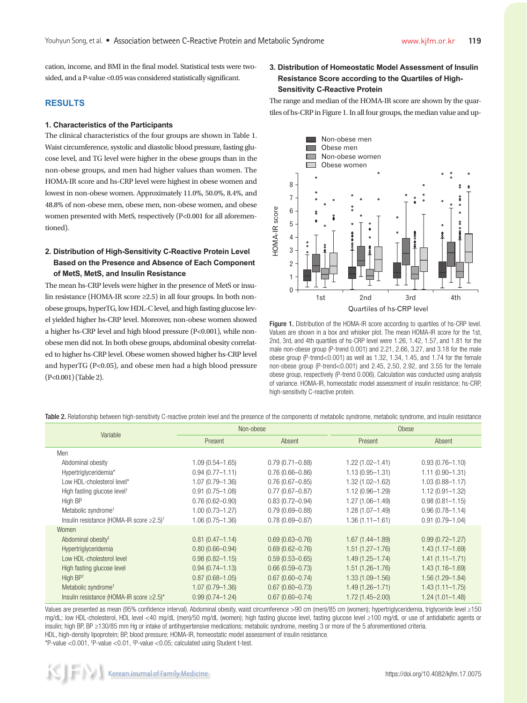cation, income, and BMI in the final model. Statistical tests were twosided, and a P-value <0.05 was considered statistically significant.

#### **RESULTS**

#### **1. Characteristics of the Participants**

The clinical characteristics of the four groups are shown in Table 1. Waist circumference, systolic and diastolic blood pressure, fasting glucose level, and TG level were higher in the obese groups than in the non-obese groups, and men had higher values than women. The HOMA-IR score and hs-CRP level were highest in obese women and lowest in non-obese women. Approximately 11.0%, 50.0%, 8.4%, and 48.8% of non-obese men, obese men, non-obese women, and obese women presented with MetS, respectively (P<0.001 for all aforementioned).

# **2. Distribution of High-Sensitivity C-Reactive Protein Level Based on the Presence and Absence of Each Component of MetS, MetS, and Insulin Resistance**

The mean hs-CRP levels were higher in the presence of MetS or insulin resistance (HOMA-IR score ≥2.5) in all four groups. In both nonobese groups, hyperTG, low HDL-C level, and high fasting glucose level yielded higher hs-CRP level. Moreover, non-obese women showed a higher hs-CRP level and high blood pressure (P<0.001), while nonobese men did not. In both obese groups, abdominal obesity correlated to higher hs-CRP level. Obese women showed higher hs-CRP level and hyperTG (P<0.05), and obese men had a high blood pressure (P<0.001) (Table 2).

# **3. Distribution of Homeostatic Model Assessment of Insulin Resistance Score according to the Quartiles of High-Sensitivity C-Reactive Protein**

The range and median of the HOMA-IR score are shown by the quartiles of hs-CRP in Figure 1. In all four groups, the median value and up-



Figure 1. Distribution of the HOMA-IR score according to quartiles of hs-CRP level. Values are shown in a box and whisker plot. The mean HOMA-IR score for the 1st, 2nd, 3rd, and 4th quartiles of hs-CRP level were 1.26, 1.42, 1.57, and 1.81 for the male non-obese group (P-trend 0.001) and 2.21, 2.66, 3.27, and 3.18 for the male obese group (P-trend<0.001) as well as 1.32, 1.34, 1.45, and 1.74 for the female non-obese group (P-trend<0.001) and 2.45, 2.50, 2.92, and 3.55 for the female obese group, respectively (P-trend 0.006). Calculation was conducted using analysis of variance. HOMA-IR, homeostatic model assessment of insulin resistance; hs-CRP, high-sensitivity C-reactive protein.

Table 2. Relationship between high-sensitivity C-reactive protein level and the presence of the components of metabolic syndrome, metabolic syndrome, and insulin resistance

| Variable                                             | Non-obese           |                     |                     | Obese               |  |  |
|------------------------------------------------------|---------------------|---------------------|---------------------|---------------------|--|--|
|                                                      | Present<br>Absent   |                     | Present             | Absent              |  |  |
| Men                                                  |                     |                     |                     |                     |  |  |
| Abdominal obesity                                    | $1.09(0.54 - 1.65)$ | $0.79(0.71 - 0.88)$ | $1.22(1.02 - 1.41)$ | $0.93(0.76 - 1.10)$ |  |  |
| Hypertriglyceridemia*                                | $0.94(0.77 - 1.11)$ | $0.76(0.66 - 0.86)$ | $1.13(0.95 - 1.31)$ | $1.11(0.90 - 1.31)$ |  |  |
| Low HDL-cholesterol level*                           | $1.07(0.79 - 1.36)$ | $0.76(0.67 - 0.85)$ | 1.32 (1.02-1.62)    | $1.03(0.88 - 1.17)$ |  |  |
| High fasting glucose level <sup>†</sup>              | $0.91(0.75 - 1.08)$ | $0.77(0.67 - 0.87)$ | $1.12(0.96 - 1.29)$ | $1.12(0.91 - 1.32)$ |  |  |
| High BP                                              | $0.76(0.62 - 0.90)$ | $0.83(0.72 - 0.94)$ | $1.27(1.06 - 1.49)$ | $0.98(0.81 - 1.15)$ |  |  |
| Metabolic syndrome <sup>+</sup>                      | $1.00(0.73 - 1.27)$ | $0.79(0.69 - 0.88)$ | $1.28(1.07 - 1.49)$ | $0.96(0.78 - 1.14)$ |  |  |
| Insulin resistance (HOMA-IR score ≥2.5) <sup>†</sup> | $1.06(0.75 - 1.36)$ | $0.78(0.69 - 0.87)$ | $1.36(1.11 - 1.61)$ | $0.91(0.79 - 1.04)$ |  |  |
| Women                                                |                     |                     |                     |                     |  |  |
| Abdominal obesity <sup>#</sup>                       | $0.81(0.47 - 1.14)$ | $0.69(0.63 - 0.76)$ | $1.67(1.44 - 1.89)$ | $0.99(0.72 - 1.27)$ |  |  |
| Hypertriglyceridemia                                 | $0.80(0.66 - 0.94)$ | $0.69(0.62 - 0.76)$ | $1.51(1.27 - 1.76)$ | $1.43(1.17 - 1.69)$ |  |  |
| Low HDL-cholesterol level                            | $0.98(0.82 - 1.15)$ | $0.59(0.53 - 0.65)$ | $1.49(1.25 - 1.74)$ | $1.41(1.11 - 1.71)$ |  |  |
| High fasting glucose level                           | $0.94(0.74 - 1.13)$ | $0.66(0.59 - 0.73)$ | $1.51(1.26 - 1.76)$ | $1.43(1.16 - 1.69)$ |  |  |
| High $BP†$                                           | $0.87(0.68 - 1.05)$ | $0.67(0.60 - 0.74)$ | $1.33(1.09 - 1.56)$ | $1.56(1.29 - 1.84)$ |  |  |
| Metabolic syndrome <sup>†</sup>                      | $1.07(0.79 - 1.36)$ | $0.67(0.60 - 0.73)$ | $1.49(1.26 - 1.71)$ | $1.43(1.11 - 1.75)$ |  |  |
| Insulin resistance (HOMA-IR score $\geq$ 2.5)*       | $0.99(0.74 - 1.24)$ | $0.67(0.60 - 0.74)$ | $1.72(1.45 - 2.00)$ | $1.24(1.01 - 1.48)$ |  |  |

Values are presented as mean (95% confidence interval). Abdominal obesity, waist circumference >90 cm (men)/85 cm (women); hypertriglyceridemia, triglyceride level ≥150 mg/dL; low HDL-cholesterol, HDL level <40 mg/dL (men)/50 mg/dL (women); high fasting glucose level, fasting glucose level ≥100 mg/dL or use of antidiabetic agents or insulin; high BP, BP ≥130/85 mm Hg or intake of antihypertensive medications; metabolic syndrome, meeting 3 or more of the 5 aforementioned criteria. HDL, high-density lipoprotein; BP, blood pressure; HOMA-IR, homeostatic model assessment of insulin resistance.

\*P-value <  $0.001$ , <sup>†</sup>P-value <  $0.01$ , <sup>‡p</sup>-value <  $0.05$ ; calculated using Student t-test.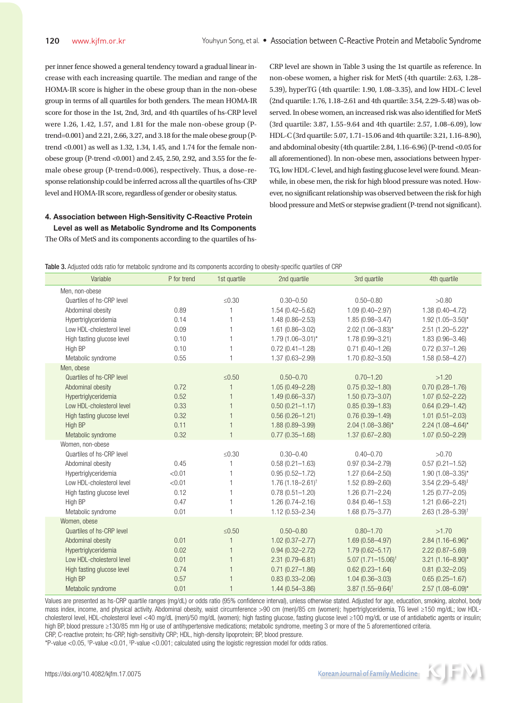per inner fence showed a general tendency toward a gradual linear increase with each increasing quartile. The median and range of the HOMA-IR score is higher in the obese group than in the non-obese group in terms of all quartiles for both genders. The mean HOMA-IR score for those in the 1st, 2nd, 3rd, and 4th quartiles of hs-CRP level were 1.26, 1.42, 1.57, and 1.81 for the male non-obese group (Ptrend=0.001) and 2.21, 2.66, 3.27, and 3.18 for the male obese group (Ptrend <0.001) as well as 1.32, 1.34, 1.45, and 1.74 for the female nonobese group (P-trend <0.001) and 2.45, 2.50, 2.92, and 3.55 for the female obese group (P-trend=0.006), respectively. Thus, a dose–response relationship could be inferred across all the quartiles of hs-CRP level and HOMA-IR score, regardless of gender or obesity status.

# **4. Association between High-Sensitivity C-Reactive Protein Level as well as Metabolic Syndrome and Its Components**

The ORs of MetS and its components according to the quartiles of hs-

CRP level are shown in Table 3 using the 1st quartile as reference. In non-obese women, a higher risk for MetS (4th quartile: 2.63, 1.28– 5.39), hyperTG (4th quartile: 1.90, 1.08–3.35), and low HDL-C level (2nd quartile: 1.76, 1.18–2.61 and 4th quartile: 3.54, 2.29–5.48) was observed. In obese women, an increased risk was also identified for MetS (3rd quartile: 3.87, 1.55–9.64 and 4th quartile: 2.57, 1.08–6.09), low HDL-C (3rd quartile: 5.07, 1.71–15.06 and 4th quartile: 3.21, 1.16–8.90), and abdominal obesity (4th quartile: 2.84, 1.16–6.96) (P-trend <0.05 for all aforementioned). In non-obese men, associations between hyper-TG, low HDL-C level, and high fasting glucose level were found. Meanwhile, in obese men, the risk for high blood pressure was noted. However, no significant relationship was observed between the risk for high blood pressure and MetS or stepwise gradient (P-trend not significant).

| Table 3. Adjusted odds ratio for metabolic syndrome and its components according to obesity-specific quartiles of CRP |  |
|-----------------------------------------------------------------------------------------------------------------------|--|
|                                                                                                                       |  |

| Variable                   | P for trend | 1st quartile   | 2nd quartile            | 3rd quartile                    | 4th quartile                    |
|----------------------------|-------------|----------------|-------------------------|---------------------------------|---------------------------------|
| Men, non-obese             |             |                |                         |                                 |                                 |
| Quartiles of hs-CRP level  |             | $\leq 0.30$    | $0.30 - 0.50$           | $0.50 - 0.80$                   | >0.80                           |
| Abdominal obesity          | 0.89        |                | $1.54(0.42 - 5.62)$     | $1.09(0.40 - 2.97)$             | $1.38(0.40 - 4.72)$             |
| Hypertriglyceridemia       | 0.14        | 1              | $1.48(0.86 - 2.53)$     | $1.85(0.98 - 3.47)$             | $1.92(1.05 - 3.50)^{*}$         |
| Low HDL-cholesterol level  | 0.09        | 1              | $1.61(0.86 - 3.02)$     | $2.02$ (1.06-3.83)*             | $2.51(1.20 - 5.22)^{*}$         |
| High fasting glucose level | 0.10        | 1              | $1.79(1.06 - 3.01)^{*}$ | 1.78 (0.99-3.21)                | $1.83(0.96 - 3.46)$             |
| High BP                    | 0.10        |                | $0.72(0.41 - 1.28)$     | $0.71(0.40 - 1.26)$             | $0.72(0.37 - 1.26)$             |
| Metabolic syndrome         | 0.55        | $\mathbf{1}$   | 1.37 (0.63-2.99)        | $1.70(0.82 - 3.50)$             | $1.58(0.58 - 4.27)$             |
| Men, obese                 |             |                |                         |                                 |                                 |
| Quartiles of hs-CRP level  |             | $≤0.50$        | $0.50 - 0.70$           | $0.70 - 1.20$                   | >1.20                           |
| Abdominal obesity          | 0.72        |                | $1.05(0.49 - 2.28)$     | $0.75(0.32 - 1.80)$             | $0.70(0.28 - 1.76)$             |
| Hypertriglyceridemia       | 0.52        | $\mathbf{1}$   | $1.49(0.66 - 3.37)$     | $1.50(0.73 - 3.07)$             | $1.07(0.52 - 2.22)$             |
| Low HDL-cholesterol level  | 0.33        | $\mathbf{1}$   | $0.50(0.21 - 1.17)$     | $0.85(0.39 - 1.83)$             | $0.64(0.29 - 1.42)$             |
| High fasting glucose level | 0.32        | $\mathbf{1}$   | $0.56(0.26 - 1.21)$     | $0.76(0.39 - 1.49)$             | $1.01(0.51 - 2.03)$             |
| High BP                    | 0.11        |                | $1.88(0.89 - 3.99)$     | $2.04$ (1.08-3.86)*             | $2.24$ (1.08-4.64)*             |
| Metabolic syndrome         | 0.32        | $\mathbf{1}$   | $0.77(0.35 - 1.68)$     | $1.37(0.67 - 2.80)$             | $1.07(0.50 - 2.29)$             |
| Women, non-obese           |             |                |                         |                                 |                                 |
| Quartiles of hs-CRP level  |             | $\leq 0.30$    | $0.30 - 0.40$           | $0.40 - 0.70$                   | >0.70                           |
| Abdominal obesity          | 0.45        |                | $0.58(0.21 - 1.63)$     | $0.97(0.34 - 2.79)$             | $0.57(0.21 - 1.52)$             |
| Hypertriglyceridemia       | < 0.01      | $\mathbf{1}$   | $0.95(0.52 - 1.72)$     | $1.27(0.64 - 2.50)$             | $1.90(1.08 - 3.35)^{*}$         |
| Low HDL-cholesterol level  | < 0.01      | 1              | $1.76(1.18 - 2.61)^{t}$ | $1.52(0.89 - 2.60)$             | $3.54$ (2.29-5.48) <sup>‡</sup> |
| High fasting glucose level | 0.12        | $\mathbf{1}$   | $0.78(0.51 - 1.20)$     | $1.26(0.71 - 2.24)$             | $1.25(0.77 - 2.05)$             |
| High BP                    | 0.47        |                | $1.26(0.74 - 2.16)$     | $0.84(0.46 - 1.53)$             | $1.21(0.66 - 2.21)$             |
| Metabolic syndrome         | 0.01        |                | $1.12(0.53 - 2.34)$     | $1.68(0.75 - 3.77)$             | 2.63 $(1.28 - 5.39)^{+}$        |
| Women, obese               |             |                |                         |                                 |                                 |
| Quartiles of hs-CRP level  |             | $≤0.50$        | $0.50 - 0.80$           | $0.80 - 1.70$                   | >1.70                           |
| Abdominal obesity          | 0.01        | $\overline{1}$ | $1.02(0.37 - 2.77)$     | $1.69(0.58 - 4.97)$             | $2.84$ (1.16-6.96)*             |
| Hypertriglyceridemia       | 0.02        | $\mathbf{1}$   | $0.94(0.32 - 2.72)$     | $1.79(0.62 - 5.17)$             | $2.22(0.87 - 5.69)$             |
| Low HDL-cholesterol level  | 0.01        | $\mathbf{1}$   | $2.31(0.79 - 6.81)$     | $5.07(1.71 - 15.06)^{\dagger}$  | $3.21 (1.16 - 8.90)^*$          |
| High fasting glucose level | 0.74        |                | $0.71(0.27 - 1.86)$     | $0.62(0.23 - 1.64)$             | $0.81(0.32 - 2.05)$             |
| High BP                    | 0.57        |                | $0.83(0.33 - 2.06)$     | $1.04(0.36 - 3.03)$             | $0.65(0.25 - 1.67)$             |
| Metabolic syndrome         | 0.01        |                | $1.44(0.54 - 3.86)$     | $3.87$ (1.55-9.64) <sup>†</sup> | $2.57$ (1.08-6.09)*             |

Values are presented as hs-CRP quartile ranges (mg/dL) or odds ratio (95% confidence interval), unless otherwise stated. Adjusted for age, education, smoking, alcohol, body mass index, income, and physical activity. Abdominal obesity, waist circumference >90 cm (men)/85 cm (women); hypertriglyceridemia, TG level ≥150 mg/dL; low HDLcholesterol level, HDL-cholesterol level <40 mg/dL (men)/50 mg/dL (women); high fasting glucose, fasting glucose level ≥100 mg/dL or use of antidiabetic agents or insulin; high BP, blood pressure ≥130/85 mm Hg or use of antihypertensive medications; metabolic syndrome, meeting 3 or more of the 5 aforementioned criteria.

CRP, C-reactive protein; hs-CRP, high-sensitivity CRP; HDL, high-density lipoprotein; BP, blood pressure.

\*P-value <0.05,  $^{\dagger}$ P-value <0.01,  $^{\dagger}$ P-value <0.001; calculated using the logistic regression model for odds ratios.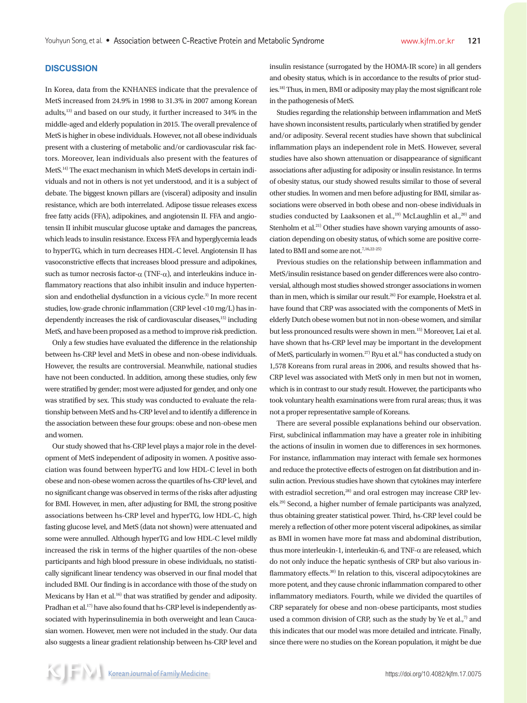## **DISCUSSION**

In Korea, data from the KNHANES indicate that the prevalence of MetS increased from 24.9% in 1998 to 31.3% in 2007 among Korean adults,13) and based on our study, it further increased to 34% in the middle-aged and elderly population in 2015. The overall prevalence of MetS is higher in obese individuals. However, not all obese individuals present with a clustering of metabolic and/or cardiovascular risk factors. Moreover, lean individuals also present with the features of MetS.14) The exact mechanism in which MetS develops in certain individuals and not in others is not yet understood, and it is a subject of debate. The biggest known pillars are (visceral) adiposity and insulin resistance, which are both interrelated. Adipose tissue releases excess free fatty acids (FFA), adipokines, and angiotensin II. FFA and angiotensin II inhibit muscular glucose uptake and damages the pancreas, which leads to insulin resistance. Excess FFA and hyperglycemia leads to hyperTG, which in turn decreases HDL-C level. Angiotensin II has vasoconstrictive effects that increases blood pressure and adipokines, such as tumor necrosis factor- $\alpha$  (TNF- $\alpha$ ), and interleukins induce inflammatory reactions that also inhibit insulin and induce hypertension and endothelial dysfunction in a vicious cycle.<sup>3)</sup> In more recent studies, low-grade chronic inflammation (CRP level <10 mg/L) has independently increases the risk of cardiovascular diseases,<sup>15)</sup> including MetS, and have been proposed as a method to improve risk prediction.

Only a few studies have evaluated the difference in the relationship between hs-CRP level and MetS in obese and non-obese individuals. However, the results are controversial. Meanwhile, national studies have not been conducted. In addition, among these studies, only few were stratified by gender; most were adjusted for gender, and only one was stratified by sex. This study was conducted to evaluate the relationship between MetS and hs-CRP level and to identify a difference in the association between these four groups: obese and non-obese men and women.

Our study showed that hs-CRP level plays a major role in the development of MetS independent of adiposity in women. A positive association was found between hyperTG and low HDL-C level in both obese and non-obese women across the quartiles of hs-CRP level, and no significant change was observed in terms of the risks after adjusting for BMI. However, in men, after adjusting for BMI, the strong positive associations between hs-CRP level and hyperTG, low HDL-C, high fasting glucose level, and MetS (data not shown) were attenuated and some were annulled. Although hyperTG and low HDL-C level mildly increased the risk in terms of the higher quartiles of the non-obese participants and high blood pressure in obese individuals, no statistically significant linear tendency was observed in our final model that included BMI. Our finding is in accordance with those of the study on Mexicans by Han et al.<sup>16)</sup> that was stratified by gender and adiposity. Pradhan et al.<sup>17)</sup> have also found that hs-CRP level is independently associated with hyperinsulinemia in both overweight and lean Caucasian women. However, men were not included in the study. Our data also suggests a linear gradient relationship between hs-CRP level and insulin resistance (surrogated by the HOMA-IR score) in all genders and obesity status, which is in accordance to the results of prior studies.18) Thus, in men, BMI or adiposity may play the most significant role in the pathogenesis of MetS.

Studies regarding the relationship between inflammation and MetS have shown inconsistent results, particularly when stratified by gender and/or adiposity. Several recent studies have shown that subclinical inflammation plays an independent role in MetS. However, several studies have also shown attenuation or disappearance of significant associations after adjusting for adiposity or insulin resistance. In terms of obesity status, our study showed results similar to those of several other studies. In women and men before adjusting for BMI, similar associations were observed in both obese and non-obese individuals in studies conducted by Laaksonen et al.,<sup>19)</sup> McLaughlin et al.,<sup>20)</sup> and Stenholm et al.<sup>21)</sup> Other studies have shown varying amounts of association depending on obesity status, of which some are positive correlated to BMI and some are not.<sup>7,16,22-25)</sup>

Previous studies on the relationship between inflammation and MetS/insulin resistance based on gender differences were also controversial, although most studies showed stronger associations in women than in men, which is similar our result.<sup>26)</sup> For example, Hoekstra et al. have found that CRP was associated with the components of MetS in elderly Dutch obese women but not in non-obese women, and similar but less pronounced results were shown in men.15) Moreover, Lai et al. have shown that hs-CRP level may be important in the development of MetS, particularly in women.<sup>27)</sup> Ryu et al.<sup>6)</sup> has conducted a study on 1,578 Koreans from rural areas in 2006, and results showed that hs-CRP level was associated with MetS only in men but not in women, which is in contrast to our study result. However, the participants who took voluntary health examinations were from rural areas; thus, it was not a proper representative sample of Koreans.

There are several possible explanations behind our observation. First, subclinical inflammation may have a greater role in inhibiting the actions of insulin in women due to differences in sex hormones. For instance, inflammation may interact with female sex hormones and reduce the protective effects of estrogen on fat distribution and insulin action. Previous studies have shown that cytokines may interfere with estradiol secretion,<sup>28)</sup> and oral estrogen may increase CRP levels.29) Second, a higher number of female participants was analyzed, thus obtaining greater statistical power. Third, hs-CRP level could be merely a reflection of other more potent visceral adipokines, as similar as BMI in women have more fat mass and abdominal distribution, thus more interleukin-1, interleukin-6, and  $TNF-\alpha$  are released, which do not only induce the hepatic synthesis of CRP but also various inflammatory effects.<sup>30)</sup> In relation to this, visceral adipocytokines are more potent, and they cause chronic inflammation compared to other inflammatory mediators. Fourth, while we divided the quartiles of CRP separately for obese and non-obese participants, most studies used a common division of CRP, such as the study by Ye et al., $7$  and this indicates that our model was more detailed and intricate. Finally, since there were no studies on the Korean population, it might be due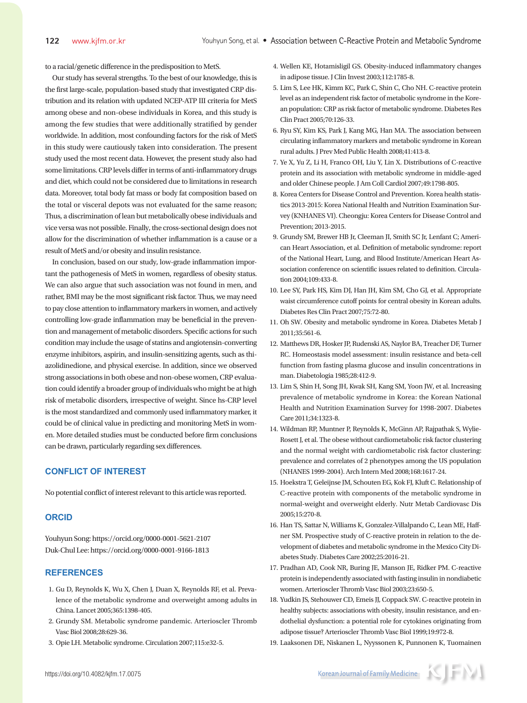to a racial/genetic difference in the predisposition to MetS.

Our study has several strengths. To the best of our knowledge, this is the first large-scale, population-based study that investigated CRP distribution and its relation with updated NCEP-ATP III criteria for MetS among obese and non-obese individuals in Korea, and this study is among the few studies that were additionally stratified by gender worldwide. In addition, most confounding factors for the risk of MetS in this study were cautiously taken into consideration. The present study used the most recent data. However, the present study also had some limitations. CRP levels differ in terms of anti-inflammatory drugs and diet, which could not be considered due to limitations in research data. Moreover, total body fat mass or body fat composition based on the total or visceral depots was not evaluated for the same reason; Thus, a discrimination of lean but metabolically obese individuals and vice versa was not possible. Finally, the cross-sectional design does not allow for the discrimination of whether inflammation is a cause or a result of MetS and/or obesity and insulin resistance.

In conclusion, based on our study, low-grade inflammation important the pathogenesis of MetS in women, regardless of obesity status. We can also argue that such association was not found in men, and rather, BMI may be the most significant risk factor. Thus, we may need to pay close attention to inflammatory markers in women, and actively controlling low-grade inflammation may be beneficial in the prevention and management of metabolic disorders. Specific actions for such condition may include the usage of statins and angiotensin-converting enzyme inhibitors, aspirin, and insulin-sensitizing agents, such as thiazolidinedione, and physical exercise. In addition, since we observed strong associations in both obese and non-obese women, CRP evaluation could identify a broader group of individuals who might be at high risk of metabolic disorders, irrespective of weight. Since hs-CRP level is the most standardized and commonly used inflammatory marker, it could be of clinical value in predicting and monitoring MetS in women. More detailed studies must be conducted before firm conclusions can be drawn, particularly regarding sex differences.

# **CONFLICT OF INTEREST**

No potential conflict of interest relevant to this article was reported.

#### **ORCID**

Youhyun Song: https://orcid.org/0000-0001-5621-2107 Duk-Chul Lee: https://orcid.org/0000-0001-9166-1813

### **REFERENCES**

- 1. Gu D, Reynolds K, Wu X, Chen J, Duan X, Reynolds RF, et al. Prevalence of the metabolic syndrome and overweight among adults in China. Lancet 2005;365:1398-405.
- 2. Grundy SM. Metabolic syndrome pandemic. Arterioscler Thromb Vasc Biol 2008;28:629-36.
- 3. Opie LH. Metabolic syndrome. Circulation 2007;115:e32-5.
- 4. Wellen KE, Hotamisligil GS. Obesity-induced inflammatory changes in adipose tissue. J Clin Invest 2003;112:1785-8.
- 5. Lim S, Lee HK, Kimm KC, Park C, Shin C, Cho NH. C-reactive protein level as an independent risk factor of metabolic syndrome in the Korean population: CRP as risk factor of metabolic syndrome. Diabetes Res Clin Pract 2005;70:126-33.
- 6. Ryu SY, Kim KS, Park J, Kang MG, Han MA. The association between circulating inflammatory markers and metabolic syndrome in Korean rural adults. J Prev Med Public Health 2008;41:413-8.
- 7. Ye X, Yu Z, Li H, Franco OH, Liu Y, Lin X. Distributions of C-reactive protein and its association with metabolic syndrome in middle-aged and older Chinese people. J Am Coll Cardiol 2007;49:1798-805.
- 8. Korea Centers for Disease Control and Prevention. Korea health statistics 2013-2015: Korea National Health and Nutrition Examination Survey (KNHANES VI). Cheongju: Korea Centers for Disease Control and Prevention; 2013-2015.
- 9. Grundy SM, Brewer HB Jr, Cleeman JI, Smith SC Jr, Lenfant C; American Heart Association, et al. Definition of metabolic syndrome: report of the National Heart, Lung, and Blood Institute/American Heart Association conference on scientific issues related to definition. Circulation 2004;109:433-8.
- 10. Lee SY, Park HS, Kim DJ, Han JH, Kim SM, Cho GJ, et al. Appropriate waist circumference cutoff points for central obesity in Korean adults. Diabetes Res Clin Pract 2007;75:72-80.
- 11. Oh SW. Obesity and metabolic syndrome in Korea. Diabetes Metab J 2011;35:561-6.
- 12. Matthews DR, Hosker JP, Rudenski AS, Naylor BA, Treacher DF, Turner RC. Homeostasis model assessment: insulin resistance and beta-cell function from fasting plasma glucose and insulin concentrations in man. Diabetologia 1985;28:412-9.
- 13. Lim S, Shin H, Song JH, Kwak SH, Kang SM, Yoon JW, et al. Increasing prevalence of metabolic syndrome in Korea: the Korean National Health and Nutrition Examination Survey for 1998-2007. Diabetes Care 2011;34:1323-8.
- 14. Wildman RP, Muntner P, Reynolds K, McGinn AP, Rajpathak S, Wylie-Rosett J, et al. The obese without cardiometabolic risk factor clustering and the normal weight with cardiometabolic risk factor clustering: prevalence and correlates of 2 phenotypes among the US population (NHANES 1999-2004). Arch Intern Med 2008;168:1617-24.
- 15. Hoekstra T, Geleijnse JM, Schouten EG, Kok FJ, Kluft C. Relationship of C-reactive protein with components of the metabolic syndrome in normal-weight and overweight elderly. Nutr Metab Cardiovasc Dis 2005;15:270-8.
- 16. Han TS, Sattar N, Williams K, Gonzalez-Villalpando C, Lean ME, Haffner SM. Prospective study of C-reactive protein in relation to the development of diabetes and metabolic syndrome in the Mexico City Diabetes Study. Diabetes Care 2002;25:2016-21.
- 17. Pradhan AD, Cook NR, Buring JE, Manson JE, Ridker PM. C-reactive protein is independently associated with fasting insulin in nondiabetic women. Arterioscler Thromb Vasc Biol 2003;23:650-5.
- 18. Yudkin JS, Stehouwer CD, Emeis JJ, Coppack SW. C-reactive protein in healthy subjects: associations with obesity, insulin resistance, and endothelial dysfunction: a potential role for cytokines originating from adipose tissue? Arterioscler Thromb Vasc Biol 1999;19:972-8.
- 19. Laaksonen DE, Niskanen L, Nyyssonen K, Punnonen K, Tuomainen